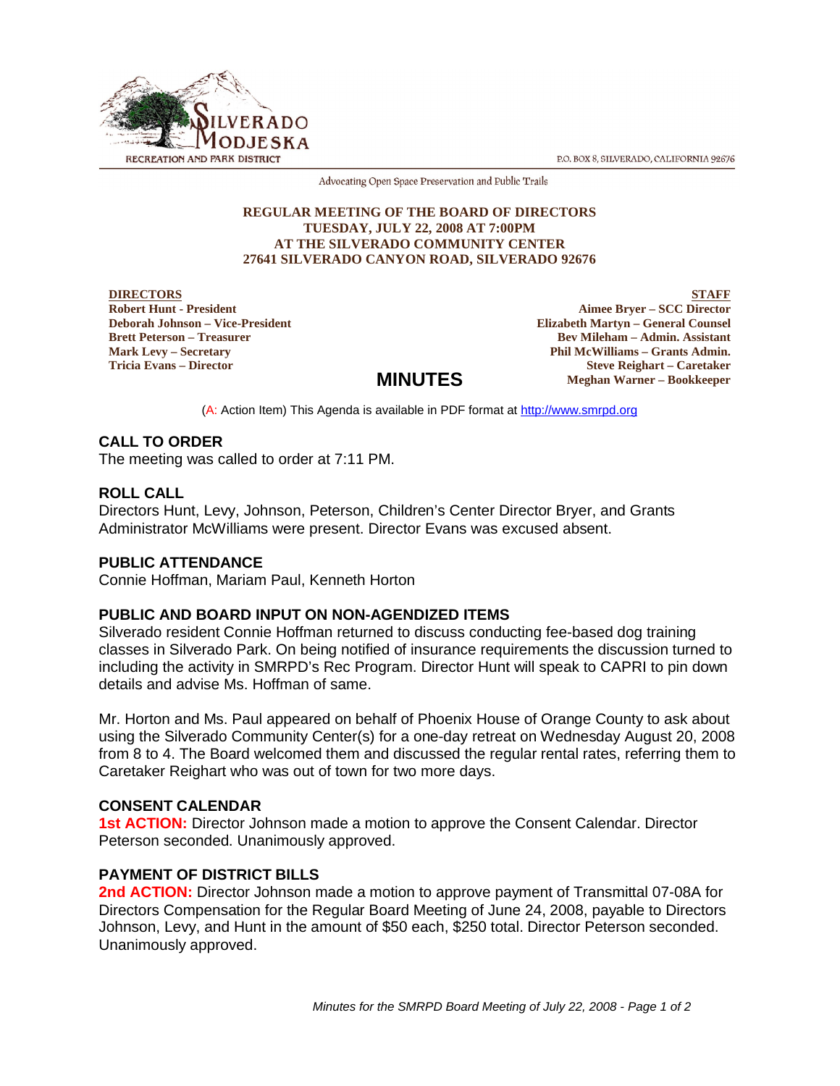P.O. BOX 8, SILVERADO, CALIFORNIA 92676



Advocating Open Space Preservation and Public Trails

#### **REGULAR MEETING OF THE BOARD OF DIRECTORS TUESDAY, JULY 22, 2008 AT 7:00PM AT THE SILVERADO COMMUNITY CENTER 27641 SILVERADO CANYON ROAD, SILVERADO 92676**

**DIRECTORS Robert Hunt - President Deborah Johnson – Vice-President Brett Peterson – Treasurer Mark Levy – Secretary Tricia Evans – Director**

**STAFF Aimee Bryer – SCC Director Elizabeth Martyn – General Counsel Bev Mileham – Admin. Assistant Phil McWilliams – Grants Admin. Steve Reighart – Caretaker Meghan Warner – Bookkeeper**

# **MINUTES**

(A: Action Item) This Agenda is available in PDF format at http://www.smrpd.org

## **CALL TO ORDER**

The meeting was called to order at 7:11 PM.

### **ROLL CALL**

Directors Hunt, Levy, Johnson, Peterson, Children's Center Director Bryer, and Grants Administrator McWilliams were present. Director Evans was excused absent.

## **PUBLIC ATTENDANCE**

Connie Hoffman, Mariam Paul, Kenneth Horton

## **PUBLIC AND BOARD INPUT ON NON-AGENDIZED ITEMS**

Silverado resident Connie Hoffman returned to discuss conducting fee-based dog training classes in Silverado Park. On being notified of insurance requirements the discussion turned to including the activity in SMRPD's Rec Program. Director Hunt will speak to CAPRI to pin down details and advise Ms. Hoffman of same.

Mr. Horton and Ms. Paul appeared on behalf of Phoenix House of Orange County to ask about using the Silverado Community Center(s) for a one-day retreat on Wednesday August 20, 2008 from 8 to 4. The Board welcomed them and discussed the regular rental rates, referring them to Caretaker Reighart who was out of town for two more days.

#### **CONSENT CALENDAR**

**1st ACTION:** Director Johnson made a motion to approve the Consent Calendar. Director Peterson seconded. Unanimously approved.

## **PAYMENT OF DISTRICT BILLS**

2nd **ACTION:** Director Johnson made a motion to approve payment of Transmittal 07-08A for Directors Compensation for the Regular Board Meeting of June 24, 2008, payable to Directors Johnson, Levy, and Hunt in the amount of \$50 each, \$250 total. Director Peterson seconded. Unanimously approved.